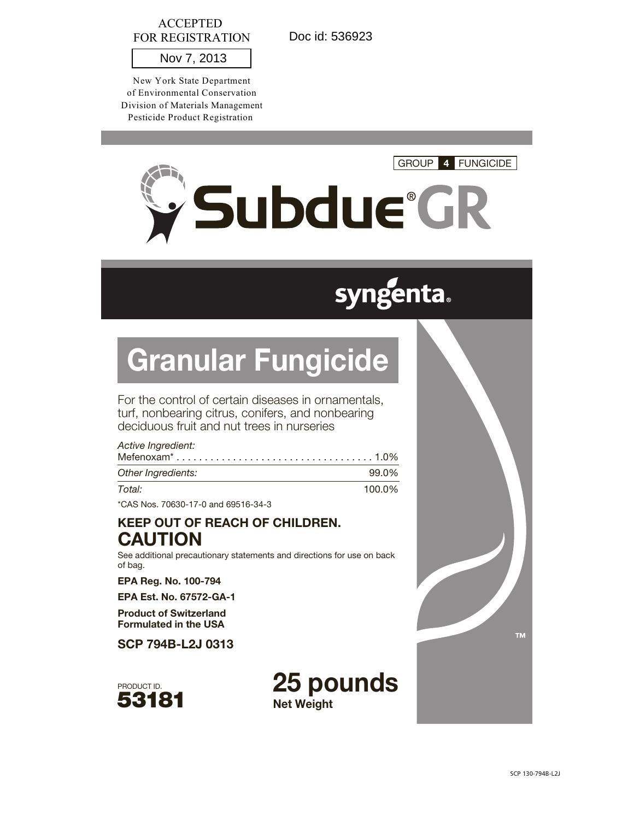# ACCEPTED FOR REGISTRATION

Doc id: 536923

Nov 7, 2013

New York State Department of Environmental Conservation Division of Materials Management Pesticide Product Registration



# **syngenta.**

# Granular Fungicide

For the control of certain diseases in ornamentals, turf, nonbearing citrus, conifers, and nonbearing deciduous fruit and nut trees in nurseries

| Active Ingredient: |        |
|--------------------|--------|
|                    |        |
| Other Ingredients: | 99.0%  |
| Total:             | 100.0% |

\*CAS Nos. 70630-17-0 and 69516-34-3

# KEEP OUT OF REACH OF CHILDREN. **CAUTION**

See additional precautionary statements and directions for use on back of bag.

EPA Reg. No. 100-794

EPA Est. No. 67572-GA-1

Product of Switzerland Formulated in the USA

SCP 794B-L2J 0313



25 pounds Net Weight

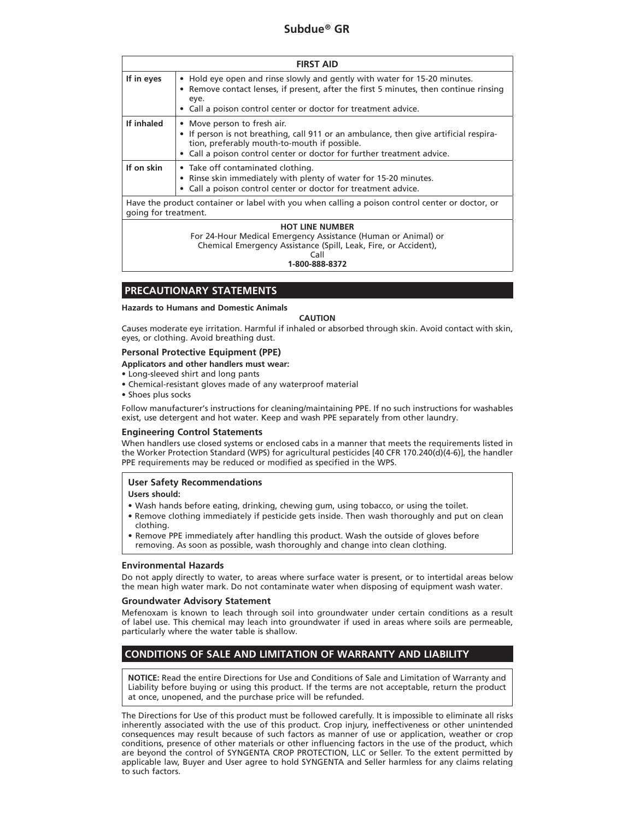| <b>FIRST AID</b>                                                                                                        |                                                                                                                                                                                                                                                |
|-------------------------------------------------------------------------------------------------------------------------|------------------------------------------------------------------------------------------------------------------------------------------------------------------------------------------------------------------------------------------------|
| If in eyes                                                                                                              | • Hold eye open and rinse slowly and gently with water for 15-20 minutes.<br>Remove contact lenses, if present, after the first 5 minutes, then continue rinsing<br>eye.<br>Call a poison control center or doctor for treatment advice.       |
| If inhaled                                                                                                              | • Move person to fresh air.<br>• If person is not breathing, call 911 or an ambulance, then give artificial respira-<br>tion, preferably mouth-to-mouth if possible.<br>• Call a poison control center or doctor for further treatment advice. |
| If on skin                                                                                                              | • Take off contaminated clothing.<br>• Rinse skin immediately with plenty of water for 15-20 minutes.<br>Call a poison control center or doctor for treatment advice.<br>$\bullet$                                                             |
| Have the product container or label with you when calling a poison control center or doctor, or<br>going for treatment. |                                                                                                                                                                                                                                                |
|                                                                                                                         | <b>HOT LINE NUMBER</b><br>For 24-Hour Medical Emergency Assistance (Human or Animal) or<br>Chemical Emergency Assistance (Spill, Leak, Fire, or Accident),<br>Call<br>1-800-888-8372                                                           |

# **PRECAUTIONARY STATEMENTS**

#### **Hazards to Humans and Domestic Animals**

#### **CAUTION**

Causes moderate eye irritation. Harmful if inhaled or absorbed through skin. Avoid contact with skin, eyes, or clothing. Avoid breathing dust.

#### **Personal Protective Equipment (PPE)**

**Applicators and other handlers must wear:**

- Long-sleeved shirt and long pants
- Chemical-resistant gloves made of any waterproof material
- Shoes plus socks

Follow manufacturer's instructions for cleaning/maintaining PPE. If no such instructions for washables exist, use detergent and hot water. Keep and wash PPE separately from other laundry.

#### **Engineering Control Statements**

When handlers use closed systems or enclosed cabs in a manner that meets the requirements listed in the Worker Protection Standard (WPS) for agricultural pesticides [40 CFR 170.240(d)(4-6)], the handler PPE requirements may be reduced or modified as specified in the WPS.

#### **User Safety Recommendations**

#### **Users should:**

- Wash hands before eating, drinking, chewing gum, using tobacco, or using the toilet.
- Remove clothing immediately if pesticide gets inside. Then wash thoroughly and put on clean clothing.
- Remove PPE immediately after handling this product. Wash the outside of gloves before removing. As soon as possible, wash thoroughly and change into clean clothing.

#### **Environmental Hazards**

Do not apply directly to water, to areas where surface water is present, or to intertidal areas below the mean high water mark. Do not contaminate water when disposing of equipment wash water.

#### **Groundwater Advisory Statement**

Mefenoxam is known to leach through soil into groundwater under certain conditions as a result of label use. This chemical may leach into groundwater if used in areas where soils are permeable, particularly where the water table is shallow.

# **CONDITIONS OF SALE AND LIMITATION OF WARRANTY AND LIABILITY**

**NOTICE:** Read the entire Directions for Use and Conditions of Sale and Limitation of Warranty and Liability before buying or using this product. If the terms are not acceptable, return the product at once, unopened, and the purchase price will be refunded.

The Directions for Use of this product must be followed carefully. It is impossible to eliminate all risks inherently associated with the use of this product. Crop injury, ineffectiveness or other unintended consequences may result because of such factors as manner of use or application, weather or crop conditions, presence of other materials or other influencing factors in the use of the product, which are beyond the control of SYNGENTA CROP PROTECTION, LLC or Seller. To the extent permitted by applicable law, Buyer and User agree to hold SYNGENTA and Seller harmless for any claims relating to such factors.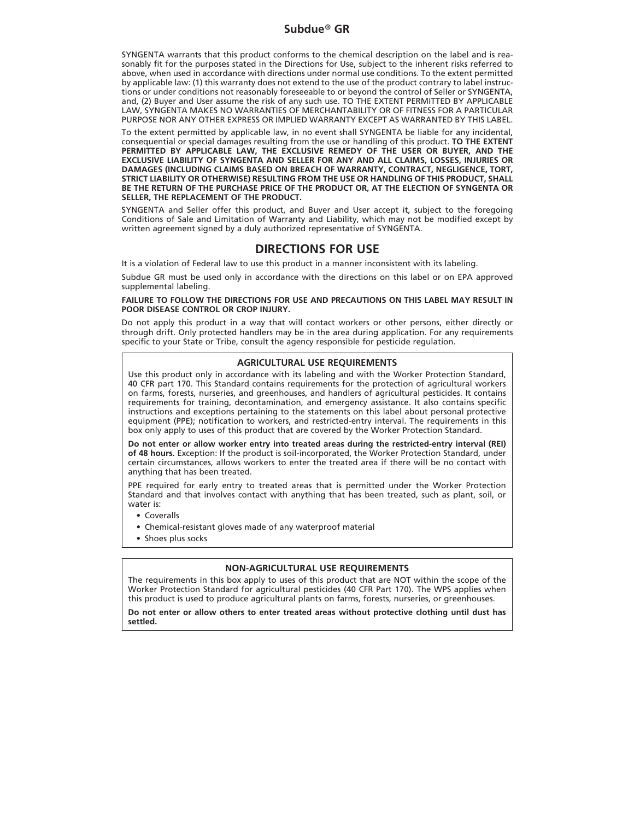# **Subdue® GR**

SYNGENTA warrants that this product conforms to the chemical description on the label and is reasonably fit for the purposes stated in the Directions for Use, subject to the inherent risks referred to above, when used in accordance with directions under normal use conditions. To the extent permitted by applicable law: (1) this warranty does not extend to the use of the product contrary to label instructions or under conditions not reasonably foreseeable to or beyond the control of Seller or SYNGENTA, and, (2) Buyer and User assume the risk of any such use. TO THE EXTENT PERMITTED BY APPLICABLE LAW, SYNGENTA MAKES NO WARRANTIES OF MERCHANTABILITY OR OF FITNESS FOR A PARTICULAR PURPOSE NOR ANY OTHER EXPRESS OR IMPLIED WARRANTY EXCEPT AS WARRANTED BY THIS LABEL.

To the extent permitted by applicable law, in no event shall SYNGENTA be liable for any incidental, consequential or special damages resulting from the use or handling of this product. **TO THE EXTENT PERMITTED BY APPLICABLE LAW, THE EXCLUSIVE REMEDY OF THE USER OR BUYER, AND THE EXCLUSIVE LIABILITY OF SYNGENTA AND SELLER FOR ANY AND ALL CLAIMS, LOSSES, INJURIES OR DAMAGES (INCLUDING CLAIMS BASED ON BREACH OF WARRANTY, CONTRACT, NEGLIGENCE, TORT, STRICT LIABILITY OR OTHERWISE) RESULTING FROM THE USE OR HANDLING OF THIS PRODUCT, SHALL BE THE RETURN OF THE PURCHASE PRICE OF THE PRODUCT OR, AT THE ELECTION OF SYNGENTA OR SELLER, THE REPLACEMENT OF THE PRODUCT.**

SYNGENTA and Seller offer this product, and Buyer and User accept it, subject to the foregoing Conditions of Sale and Limitation of Warranty and Liability, which may not be modified except by written agreement signed by a duly authorized representative of SYNGENTA.

# **DIRECTIONS FOR USE**

It is a violation of Federal law to use this product in a manner inconsistent with its labeling.

Subdue GR must be used only in accordance with the directions on this label or on EPA approved supplemental labeling.

#### **FAILURE TO FOLLOW THE DIRECTIONS FOR USE AND PRECAUTIONS ON THIS LABEL MAY RESULT IN POOR DISEASE CONTROL OR CROP INJURY.**

Do not apply this product in a way that will contact workers or other persons, either directly or through drift. Only protected handlers may be in the area during application. For any requirements specific to your State or Tribe, consult the agency responsible for pesticide regulation.

#### **AGRICULTURAL USE REQUIREMENTS**

Use this product only in accordance with its labeling and with the Worker Protection Standard, 40 CFR part 170. This Standard contains requirements for the protection of agricultural workers on farms, forests, nurseries, and greenhouses, and handlers of agricultural pesticides. It contains requirements for training, decontamination, and emergency assistance. It also contains specific instructions and exceptions pertaining to the statements on this label about personal protective equipment (PPE); notification to workers, and restricted-entry interval. The requirements in this box only apply to uses of this product that are covered by the Worker Protection Standard.

**Do not enter or allow worker entry into treated areas during the restricted-entry interval (REI) of 48 hours.** Exception: If the product is soil-incorporated, the Worker Protection Standard, under certain circumstances, allows workers to enter the treated area if there will be no contact with anything that has been treated.

PPE required for early entry to treated areas that is permitted under the Worker Protection Standard and that involves contact with anything that has been treated, such as plant, soil, or water is:

- Coveralls
- Chemical-resistant gloves made of any waterproof material
- Shoes plus socks

#### **NON-AGRICULTURAL USE REQUIREMENTS**

The requirements in this box apply to uses of this product that are NOT within the scope of the Worker Protection Standard for agricultural pesticides (40 CFR Part 170). The WPS applies when this product is used to produce agricultural plants on farms, forests, nurseries, or greenhouses.

**Do not enter or allow others to enter treated areas without protective clothing until dust has settled.**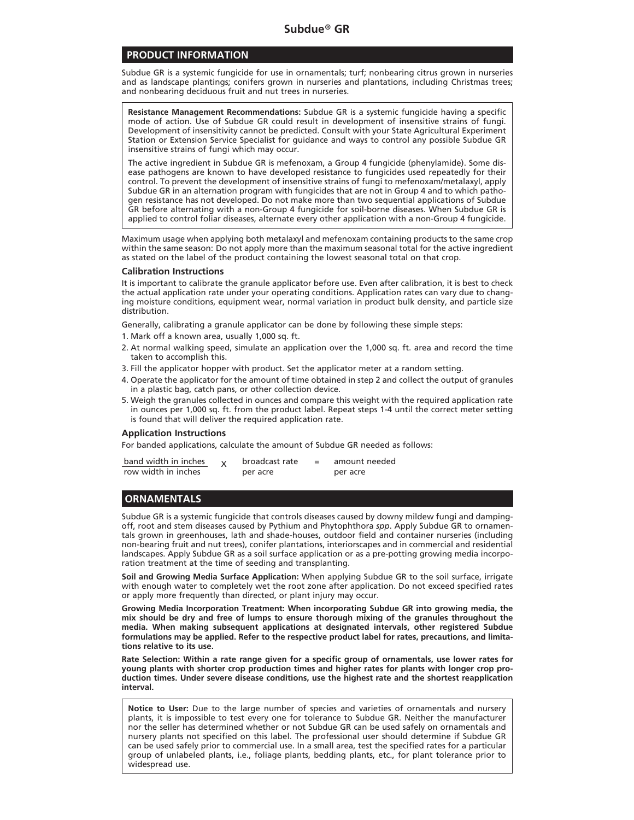#### **PRODUCT INFORMATION**

Subdue GR is a systemic fungicide for use in ornamentals; turf; nonbearing citrus grown in nurseries and as landscape plantings; conifers grown in nurseries and plantations, including Christmas trees; and nonbearing deciduous fruit and nut trees in nurseries.

**Resistance Management Recommendations:** Subdue GR is a systemic fungicide having a specific mode of action. Use of Subdue GR could result in development of insensitive strains of fungi. Development of insensitivity cannot be predicted. Consult with your State Agricultural Experiment Station or Extension Service Specialist for guidance and ways to control any possible Subdue GR insensitive strains of fungi which may occur.

The active ingredient in Subdue GR is mefenoxam, a Group 4 fungicide (phenylamide). Some disease pathogens are known to have developed resistance to fungicides used repeatedly for their control. To prevent the development of insensitive strains of fungi to mefenoxam/metalaxyl, apply Subdue GR in an alternation program with fungicides that are not in Group 4 and to which pathogen resistance has not developed. Do not make more than two sequential applications of Subdue GR before alternating with a non-Group 4 fungicide for soil-borne diseases. When Subdue GR is applied to control foliar diseases, alternate every other application with a non-Group 4 fungicide.

Maximum usage when applying both metalaxyl and mefenoxam containing products to the same crop within the same season: Do not apply more than the maximum seasonal total for the active ingredient as stated on the label of the product containing the lowest seasonal total on that crop.

#### **Calibration Instructions**

It is important to calibrate the granule applicator before use. Even after calibration, it is best to check the actual application rate under your operating conditions. Application rates can vary due to changing moisture conditions, equipment wear, normal variation in product bulk density, and particle size distribution.

Generally, calibrating a granule applicator can be done by following these simple steps:

- 1. Mark off a known area, usually 1,000 sq. ft.
- 2. At normal walking speed, simulate an application over the 1,000 sq. ft. area and record the time taken to accomplish this.
- 3. Fill the applicator hopper with product. Set the applicator meter at a random setting.
- 4. Operate the applicator for the amount of time obtained in step 2 and collect the output of granules in a plastic bag, catch pans, or other collection device.
- 5. Weigh the granules collected in ounces and compare this weight with the required application rate in ounces per 1,000 sq. ft. from the product label. Repeat steps 1-4 until the correct meter setting is found that will deliver the required application rate.

#### **Application Instructions**

For banded applications, calculate the amount of Subdue GR needed as follows:

| band width in inches | broadcast rate | $=$ | amount needed |
|----------------------|----------------|-----|---------------|
| row width in inches  | per acre       |     | per acre      |

# **ORNAMENTALS**

Subdue GR is a systemic fungicide that controls diseases caused by downy mildew fungi and dampingoff, root and stem diseases caused by Pythium and Phytophthora *spp*. Apply Subdue GR to ornamentals grown in greenhouses, lath and shade-houses, outdoor field and container nurseries (including non-bearing fruit and nut trees), conifer plantations, interiorscapes and in commercial and residential landscapes. Apply Subdue GR as a soil surface application or as a pre-potting growing media incorporation treatment at the time of seeding and transplanting.

**Soil and Growing Media Surface Application:** When applying Subdue GR to the soil surface, irrigate with enough water to completely wet the root zone after application. Do not exceed specified rates or apply more frequently than directed, or plant injury may occur.

**Growing Media Incorporation Treatment: When incorporating Subdue GR into growing media, the mix should be dry and free of lumps to ensure thorough mixing of the granules throughout the media. When making subsequent applications at designated intervals, other registered Subdue formulations may be applied. Refer to the respective product label for rates, precautions, and limitations relative to its use.**

**Rate Selection: Within a rate range given for a specific group of ornamentals, use lower rates for young plants with shorter crop production times and higher rates for plants with longer crop production times. Under severe disease conditions, use the highest rate and the shortest reapplication interval.**

**Notice to User:** Due to the large number of species and varieties of ornamentals and nursery plants, it is impossible to test every one for tolerance to Subdue GR. Neither the manufacturer nor the seller has determined whether or not Subdue GR can be used safely on ornamentals and nursery plants not specified on this label. The professional user should determine if Subdue GR can be used safely prior to commercial use. In a small area, test the specified rates for a particular group of unlabeled plants, i.e., foliage plants, bedding plants, etc., for plant tolerance prior to widespread use.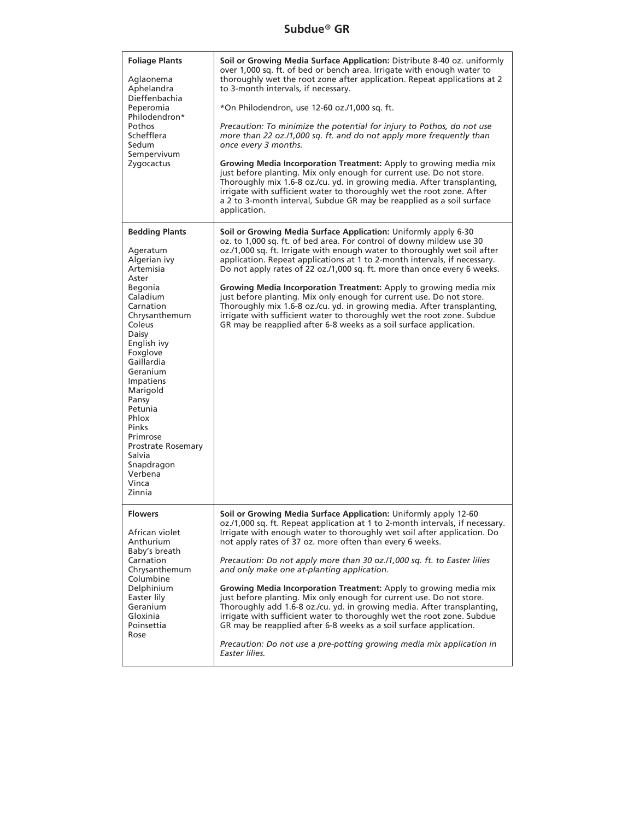# **Subdue® GR**

| <b>Foliage Plants</b><br>Aglaonema<br>Aphelandra<br>Dieffenbachia<br>Peperomia<br>Philodendron*<br>Pothos<br>Schefflera<br>Sedum<br>Sempervivum<br>Zygocactus                                                                                                                                                                                                      | Soil or Growing Media Surface Application: Distribute 8-40 oz. uniformly<br>over 1,000 sq. ft. of bed or bench area. Irrigate with enough water to<br>thoroughly wet the root zone after application. Repeat applications at 2<br>to 3-month intervals, if necessary.<br>*On Philodendron, use 12-60 oz./1,000 sq. ft.<br>Precaution: To minimize the potential for injury to Pothos, do not use<br>more than 22 oz./1,000 sq. ft. and do not apply more frequently than<br>once every 3 months.<br>Growing Media Incorporation Treatment: Apply to growing media mix<br>just before planting. Mix only enough for current use. Do not store.<br>Thoroughly mix 1.6-8 oz./cu. yd. in growing media. After transplanting,<br>irrigate with sufficient water to thoroughly wet the root zone. After<br>a 2 to 3-month interval, Subdue GR may be reapplied as a soil surface<br>application. |
|--------------------------------------------------------------------------------------------------------------------------------------------------------------------------------------------------------------------------------------------------------------------------------------------------------------------------------------------------------------------|--------------------------------------------------------------------------------------------------------------------------------------------------------------------------------------------------------------------------------------------------------------------------------------------------------------------------------------------------------------------------------------------------------------------------------------------------------------------------------------------------------------------------------------------------------------------------------------------------------------------------------------------------------------------------------------------------------------------------------------------------------------------------------------------------------------------------------------------------------------------------------------------|
| <b>Bedding Plants</b><br>Ageratum<br>Algerian ivy<br>Artemisia<br>Aster<br>Begonia<br>Caladium<br>Carnation<br>Chrysanthemum<br>Coleus<br>Daisy<br>English ivy<br>Foxglove<br>Gaillardia<br>Geranium<br>Impatiens<br>Marigold<br>Pansy<br>Petunia<br>Phlox<br>Pinks<br>Primrose<br><b>Prostrate Rosemary</b><br>Salvia<br>Snapdragon<br>Verbena<br>Vinca<br>Zinnia | Soil or Growing Media Surface Application: Uniformly apply 6-30<br>oz. to 1,000 sq. ft. of bed area. For control of downy mildew use 30<br>oz./1,000 sq. ft. Irrigate with enough water to thoroughly wet soil after<br>application. Repeat applications at 1 to 2-month intervals, if necessary.<br>Do not apply rates of 22 oz./1,000 sq. ft. more than once every 6 weeks.<br>Growing Media Incorporation Treatment: Apply to growing media mix<br>just before planting. Mix only enough for current use. Do not store.<br>Thoroughly mix 1.6-8 oz./cu. yd. in growing media. After transplanting,<br>irrigate with sufficient water to thoroughly wet the root zone. Subdue<br>GR may be reapplied after 6-8 weeks as a soil surface application.                                                                                                                                      |
| <b>Flowers</b><br>African violet<br>Anthurium<br>Baby's breath<br>Carnation<br>Chrysanthemum<br>Columbine<br>Delphinium<br>Easter lily<br>Geranium<br>Gloxinia<br>Poinsettia<br>Rose                                                                                                                                                                               | Soil or Growing Media Surface Application: Uniformly apply 12-60<br>oz./1,000 sq. ft. Repeat application at 1 to 2-month intervals, if necessary.<br>Irrigate with enough water to thoroughly wet soil after application. Do<br>not apply rates of 37 oz. more often than every 6 weeks.<br>Precaution: Do not apply more than 30 oz./1,000 sq. ft. to Easter lilies<br>and only make one at-planting application.<br>Growing Media Incorporation Treatment: Apply to growing media mix<br>just before planting. Mix only enough for current use. Do not store.<br>Thoroughly add 1.6-8 oz./cu. yd. in growing media. After transplanting,<br>irrigate with sufficient water to thoroughly wet the root zone. Subdue<br>GR may be reapplied after 6-8 weeks as a soil surface application.<br>Precaution: Do not use a pre-potting growing media mix application in<br>Easter lilies.      |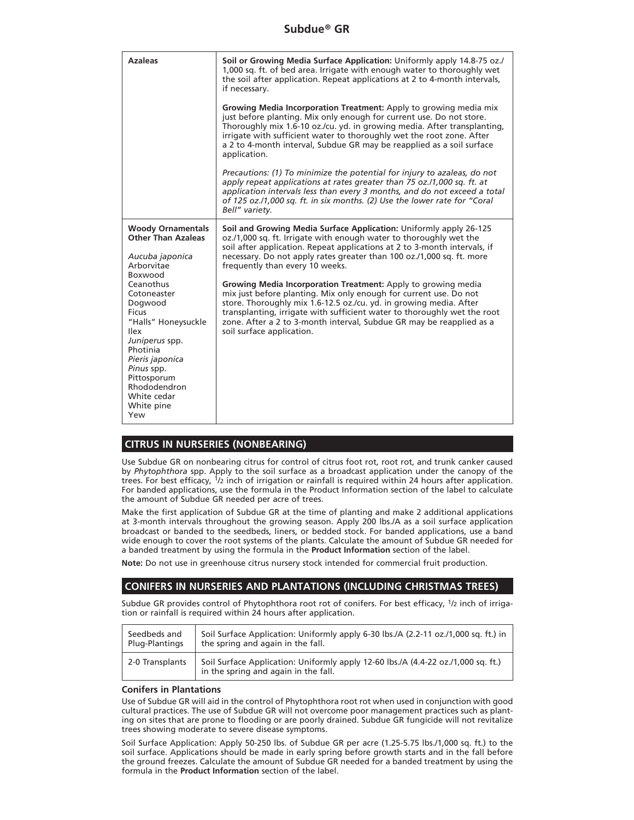| <b>Azaleas</b>                                                                                                                                                                                                                                                                                                            | Soil or Growing Media Surface Application: Uniformly apply 14.8-75 oz./<br>1,000 sq. ft. of bed area. Irrigate with enough water to thoroughly wet<br>the soil after application. Repeat applications at 2 to 4-month intervals,<br>if necessary.                                                                                                                                                                                                                                                                                                                                                                                                                                                                              |
|---------------------------------------------------------------------------------------------------------------------------------------------------------------------------------------------------------------------------------------------------------------------------------------------------------------------------|--------------------------------------------------------------------------------------------------------------------------------------------------------------------------------------------------------------------------------------------------------------------------------------------------------------------------------------------------------------------------------------------------------------------------------------------------------------------------------------------------------------------------------------------------------------------------------------------------------------------------------------------------------------------------------------------------------------------------------|
|                                                                                                                                                                                                                                                                                                                           | Growing Media Incorporation Treatment: Apply to growing media mix<br>just before planting. Mix only enough for current use. Do not store.<br>Thoroughly mix 1.6-10 oz./cu. yd. in growing media. After transplanting,<br>irrigate with sufficient water to thoroughly wet the root zone. After<br>a 2 to 4-month interval, Subdue GR may be reapplied as a soil surface<br>application.                                                                                                                                                                                                                                                                                                                                        |
|                                                                                                                                                                                                                                                                                                                           | Precautions: (1) To minimize the potential for injury to azaleas, do not<br>apply repeat applications at rates greater than 75 oz./1,000 sq. ft. at<br>application intervals less than every 3 months, and do not exceed a total<br>of 125 oz./1,000 sq. ft. in six months. (2) Use the lower rate for "Coral<br>Bell" variety.                                                                                                                                                                                                                                                                                                                                                                                                |
| <b>Woody Ornamentals</b><br><b>Other Than Azaleas</b><br>Aucuba japonica<br>Arborvitae<br>Boxwood<br>Ceanothus<br>Cotoneaster<br>Dogwood<br>Ficus<br>"Halls" Honeysuckle<br><b>Ilex</b><br>Juniperus spp.<br>Photinia<br>Pieris japonica<br>Pinus spp.<br>Pittosporum<br>Rhododendron<br>White cedar<br>White pine<br>Yew | Soil and Growing Media Surface Application: Uniformly apply 26-125<br>oz./1,000 sq. ft. Irrigate with enough water to thoroughly wet the<br>soil after application. Repeat applications at 2 to 3-month intervals, if<br>necessary. Do not apply rates greater than 100 oz./1,000 sq. ft. more<br>frequently than every 10 weeks.<br>Growing Media Incorporation Treatment: Apply to growing media<br>mix just before planting. Mix only enough for current use. Do not<br>store. Thoroughly mix 1.6-12.5 oz./cu. yd. in growing media. After<br>transplanting, irrigate with sufficient water to thoroughly wet the root<br>zone. After a 2 to 3-month interval, Subdue GR may be reapplied as a<br>soil surface application. |

# **CITRUS IN NURSERIES (NONBEARING)**

Use Subdue GR on nonbearing citrus for control of citrus foot rot, root rot, and trunk canker caused by *Phytophthora* spp. Apply to the soil surface as a broadcast application under the canopy of the trees. For best efficacy, 1/2 inch of irrigation or rainfall is required within 24 hours after application. For banded applications, use the formula in the Product Information section of the label to calculate the amount of Subdue GR needed per acre of trees.

Make the first application of Subdue GR at the time of planting and make 2 additional applications at 3-month intervals throughout the growing season. Apply 200 lbs./A as a soil surface application broadcast or banded to the seedbeds, liners, or bedded stock. For banded applications, use a band wide enough to cover the root systems of the plants. Calculate the amount of Subdue GR needed for a banded treatment by using the formula in the **Product Information** section of the label.

**Note:** Do not use in greenhouse citrus nursery stock intended for commercial fruit production.

# **CONIFERS IN NURSERIES AND PLANTATIONS (INCLUDING CHRISTMAS TREES)**

Subdue GR provides control of Phytophthora root rot of conifers. For best efficacy, 1/2 inch of irrigation or rainfall is required within 24 hours after application.

| Seedbeds and    | Soil Surface Application: Uniformly apply 6-30 lbs./A (2.2-11 oz./1,000 sq. ft.) in                                       |
|-----------------|---------------------------------------------------------------------------------------------------------------------------|
| Plug-Plantings  | the spring and again in the fall.                                                                                         |
| 2-0 Transplants | Soil Surface Application: Uniformly apply 12-60 lbs./A (4.4-22 oz./1,000 sq. ft.)<br>in the spring and again in the fall. |

#### **Conifers in Plantations**

Use of Subdue GR will aid in the control of Phytophthora root rot when used in conjunction with good cultural practices. The use of Subdue GR will not overcome poor management practices such as planting on sites that are prone to flooding or are poorly drained. Subdue GR fungicide will not revitalize trees showing moderate to severe disease symptoms.

Soil Surface Application: Apply 50-250 lbs. of Subdue GR per acre (1.25-5.75 lbs./1,000 sq. ft.) to the soil surface. Applications should be made in early spring before growth starts and in the fall before the ground freezes. Calculate the amount of Subdue GR needed for a banded treatment by using the formula in the **Product Information** section of the label.